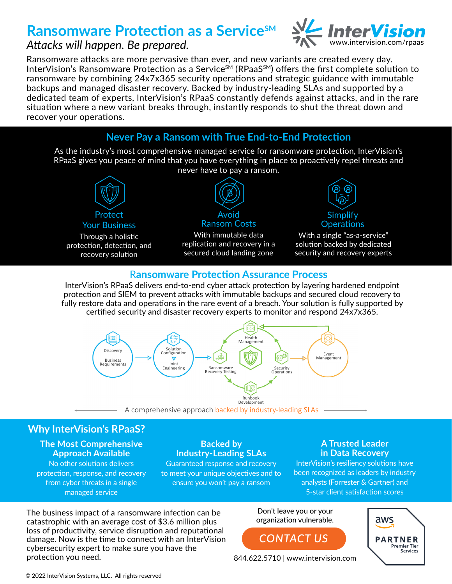# **Ransomware Protection as a ServiceSM**



## *Attacks will happen. Be prepared.*

Ransomware attacks are more pervasive than ever, and new variants are created every day. InterVision's Ransomware Protection as a Service<sup>SM</sup> (RPaaS<sup>SM</sup>) offers the first complete solution to ransomware by combining 24x7x365 security operations and strategic guidance with immutable backups and managed disaster recovery. Backed by industry-leading SLAs and supported by a dedicated team of experts, InterVision's RPaaS constantly defends against attacks, and in the rare situation where a new variant breaks through, instantly responds to shut the threat down and recover your operations.



As the industry's most comprehensive managed service for ransomware protection, InterVision's RPaaS gives you peace of mind that you have everything in place to proactively repel threats and never have to pay a ransom.



#### R**ansomware Protection Assurance Process**

InterVision's RPaaS delivers end-to-end cyber attack protection by layering hardened endpoint protection and SIEM to prevent attacks with immutable backups and secured cloud recovery to fully restore data and operations in the rare event of a breach. Your solution is fully supported by certified security and disaster recovery experts to monitor and respond 24x7x365.



### **Why InterVision's RPaaS?**

#### **The Most Comprehensive Approach Available**

No other solutions delivers protection, response, and recovery from cyber threats in a single managed service

#### **Backed by Industry-Leading SLAs**

Guaranteed response and recovery to meet your unique objectives and to ensure you won't pay a ransom

#### **A Trusted Leader in Data Recovery**

InterVision's resiliency solutions have been recognized as leaders by industry analysts (Forrester & Gartner) and 5-star client satisfaction scores

The business impact of a ransomware infection can be catastrophic with an average cost of \$3.6 million plus loss of productivity, service disruption and reputational damage. Now is the time to connect with an InterVision cybersecurity expert to make sure you have the protection you need. 844.622.5710 | www.intervision.com

Don't leave you or your organization vulnerable.